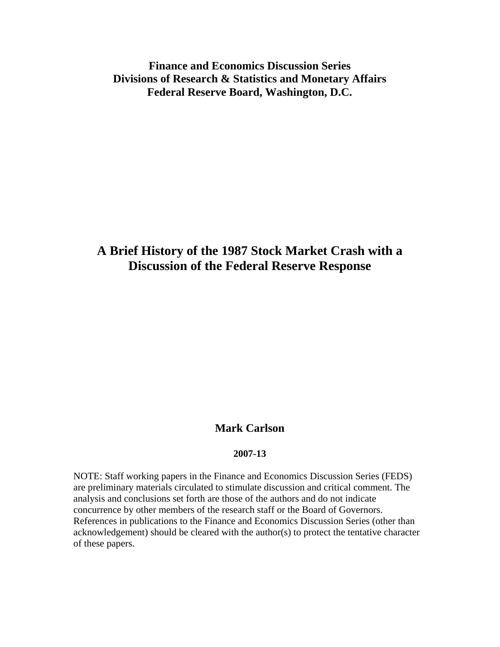**Finance and Economics Discussion Series Divisions of Research & Statistics and Monetary Affairs Federal Reserve Board, Washington, D.C.** 

# **A Brief History of the 1987 Stock Market Crash with a Discussion of the Federal Reserve Response**

## **Mark Carlson**

## **2007-13**

NOTE: Staff working papers in the Finance and Economics Discussion Series (FEDS) are preliminary materials circulated to stimulate discussion and critical comment. The analysis and conclusions set forth are those of the authors and do not indicate concurrence by other members of the research staff or the Board of Governors. References in publications to the Finance and Economics Discussion Series (other than acknowledgement) should be cleared with the author(s) to protect the tentative character of these papers.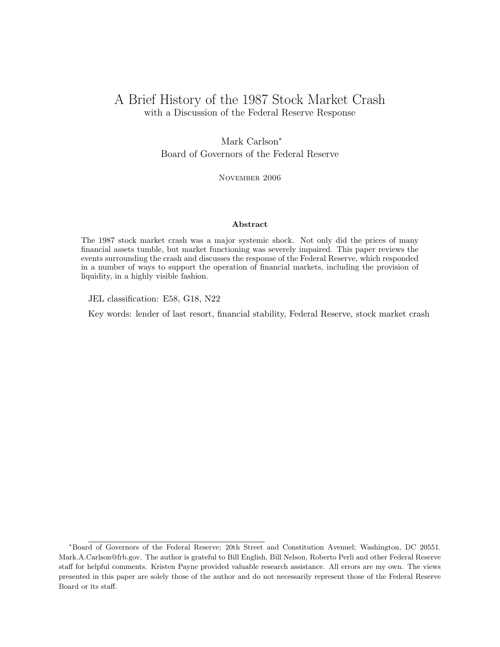## A Brief History of the 1987 Stock Market Crash with a Discussion of the Federal Reserve Response

Mark Carlson<sup>∗</sup> Board of Governors of the Federal Reserve

NOVEMBER 2006

#### Abstract

The 1987 stock market crash was a major systemic shock. Not only did the prices of many financial assets tumble, but market functioning was severely impaired. This paper reviews the events surrounding the crash and discusses the response of the Federal Reserve, which responded in a number of ways to support the operation of financial markets, including the provision of liquidity, in a highly visible fashion.

JEL classification: E58, G18, N22

Key words: lender of last resort, financial stability, Federal Reserve, stock market crash

<sup>∗</sup>Board of Governors of the Federal Reserve; 20th Street and Constitution Avenuel; Washington, DC 20551. Mark.A.Carlson@frb.gov. The author is grateful to Bill English, Bill Nelson, Roberto Perli and other Federal Reserve staff for helpful comments. Kristen Payne provided valuable research assistance. All errors are my own. The views presented in this paper are solely those of the author and do not necessarily represent those of the Federal Reserve Board or its staff.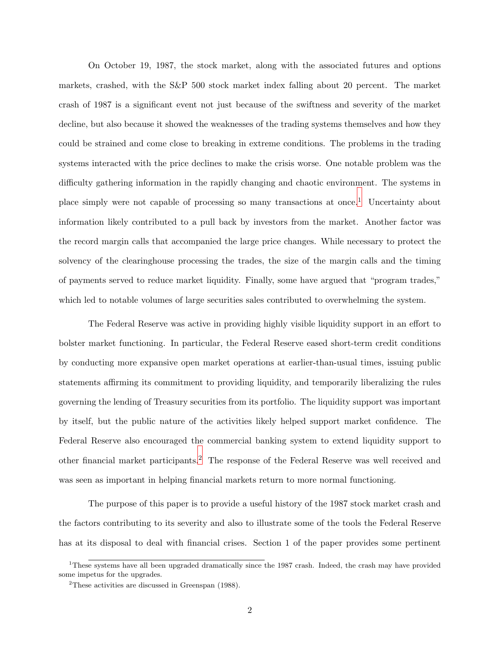On October 19, 1987, the stock market, along with the associated futures and options markets, crashed, with the S&P 500 stock market index falling about 20 percent. The market crash of 1987 is a significant event not just because of the swiftness and severity of the market decline, but also because it showed the weaknesses of the trading systems themselves and how they could be strained and come close to breaking in extreme conditions. The problems in the trading systems interacted with the price declines to make the crisis worse. One notable problem was the difficulty gathering information in the rapidly changing and chaotic environment. The systems in place simply were not capable of processing so many transactions at once.<sup>1</sup> Uncertainty about information likely contributed to a pull back by investors from the market. Another factor was the record margin calls that accompanied the large price changes. While necessary to protect the solvency of the clearinghouse processing the trades, the size of the margin calls and the timing of payments served to reduce market liquidity. Finally, some have argued that "program trades," which led to notable volumes of large securities sales contributed to overwhelming the system.

The Federal Reserve was active in providing highly visible liquidity support in an effort to bolster market functioning. In particular, the Federal Reserve eased short-term credit conditions by conducting more expansive open market operations at earlier-than-usual times, issuing public statements affirming its commitment to providing liquidity, and temporarily liberalizing the rules governing the lending of Treasury securities from its portfolio. The liquidity support was important by itself, but the public nature of the activities likely helped support market confidence. The Federal Reserve also encouraged the commercial banking system to extend liquidity support to other financial market participants.<sup>2</sup> The response of the Federal Reserve was well received and was seen as important in helping financial markets return to more normal functioning.

The purpose of this paper is to provide a useful history of the 1987 stock market crash and the factors contributing to its severity and also to illustrate some of the tools the Federal Reserve has at its disposal to deal with financial crises. Section 1 of the paper provides some pertinent

<sup>&</sup>lt;sup>1</sup>These systems have all been upgraded dramatically since the 1987 crash. Indeed, the crash may have provided some impetus for the upgrades.

<sup>2</sup>These activities are discussed in Greenspan (1988).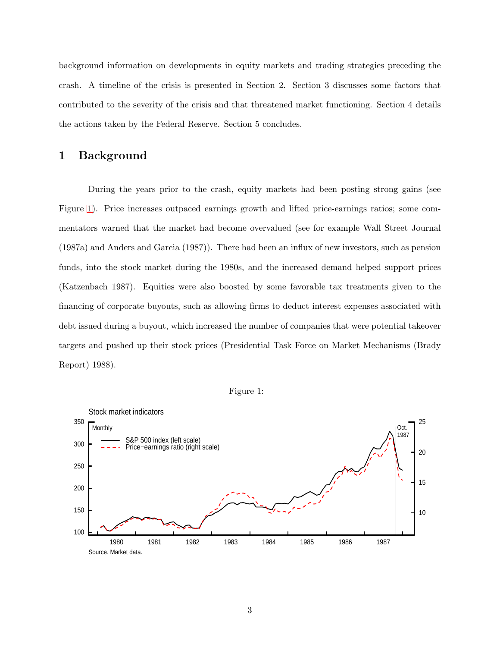background information on developments in equity markets and trading strategies preceding the crash. A timeline of the crisis is presented in Section 2. Section 3 discusses some factors that contributed to the severity of the crisis and that threatened market functioning. Section 4 details the actions taken by the Federal Reserve. Section 5 concludes.

### 1 Background

During the years prior to the crash, equity markets had been posting strong gains (see Figure [1\)](#page-3-0). Price increases outpaced earnings growth and lifted price-earnings ratios; some commentators warned that the market had become overvalued (see for example Wall Street Journal (1987a) and Anders and Garcia (1987)). There had been an influx of new investors, such as pension funds, into the stock market during the 1980s, and the increased demand helped support prices (Katzenbach 1987). Equities were also boosted by some favorable tax treatments given to the financing of corporate buyouts, such as allowing firms to deduct interest expenses associated with debt issued during a buyout, which increased the number of companies that were potential takeover targets and pushed up their stock prices (Presidential Task Force on Market Mechanisms (Brady Report) 1988).

<span id="page-3-0"></span>

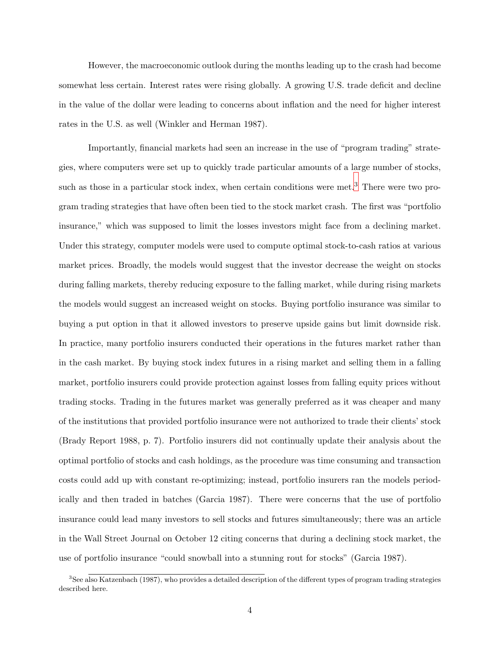However, the macroeconomic outlook during the months leading up to the crash had become somewhat less certain. Interest rates were rising globally. A growing U.S. trade deficit and decline in the value of the dollar were leading to concerns about inflation and the need for higher interest rates in the U.S. as well (Winkler and Herman 1987).

Importantly, financial markets had seen an increase in the use of "program trading" strategies, where computers were set up to quickly trade particular amounts of a large number of stocks, such as those in a particular stock index, when certain conditions were met.<sup>3</sup> There were two program trading strategies that have often been tied to the stock market crash. The first was "portfolio insurance," which was supposed to limit the losses investors might face from a declining market. Under this strategy, computer models were used to compute optimal stock-to-cash ratios at various market prices. Broadly, the models would suggest that the investor decrease the weight on stocks during falling markets, thereby reducing exposure to the falling market, while during rising markets the models would suggest an increased weight on stocks. Buying portfolio insurance was similar to buying a put option in that it allowed investors to preserve upside gains but limit downside risk. In practice, many portfolio insurers conducted their operations in the futures market rather than in the cash market. By buying stock index futures in a rising market and selling them in a falling market, portfolio insurers could provide protection against losses from falling equity prices without trading stocks. Trading in the futures market was generally preferred as it was cheaper and many of the institutions that provided portfolio insurance were not authorized to trade their clients' stock (Brady Report 1988, p. 7). Portfolio insurers did not continually update their analysis about the optimal portfolio of stocks and cash holdings, as the procedure was time consuming and transaction costs could add up with constant re-optimizing; instead, portfolio insurers ran the models periodically and then traded in batches (Garcia 1987). There were concerns that the use of portfolio insurance could lead many investors to sell stocks and futures simultaneously; there was an article in the Wall Street Journal on October 12 citing concerns that during a declining stock market, the use of portfolio insurance "could snowball into a stunning rout for stocks" (Garcia 1987).

<sup>&</sup>lt;sup>3</sup>See also Katzenbach (1987), who provides a detailed description of the different types of program trading strategies described here.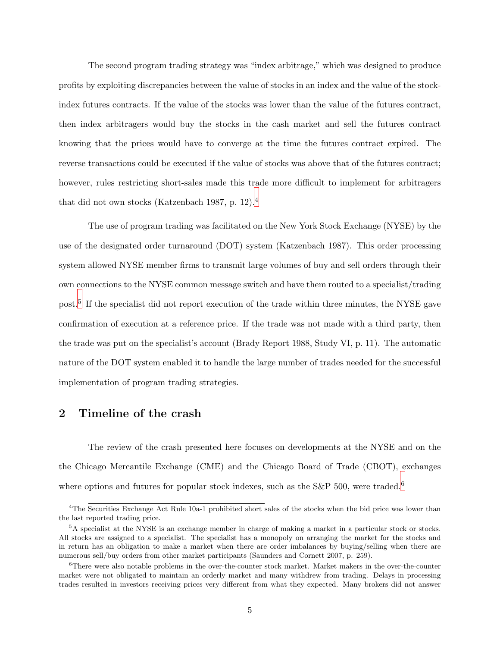The second program trading strategy was "index arbitrage," which was designed to produce profits by exploiting discrepancies between the value of stocks in an index and the value of the stockindex futures contracts. If the value of the stocks was lower than the value of the futures contract, then index arbitragers would buy the stocks in the cash market and sell the futures contract knowing that the prices would have to converge at the time the futures contract expired. The reverse transactions could be executed if the value of stocks was above that of the futures contract; however, rules restricting short-sales made this trade more difficult to implement for arbitragers that did not own stocks (Katzenbach 1987, p. 12).<sup>4</sup>

The use of program trading was facilitated on the New York Stock Exchange (NYSE) by the use of the designated order turnaround (DOT) system (Katzenbach 1987). This order processing system allowed NYSE member firms to transmit large volumes of buy and sell orders through their own connections to the NYSE common message switch and have them routed to a specialist/trading post.<sup>5</sup> If the specialist did not report execution of the trade within three minutes, the NYSE gave confirmation of execution at a reference price. If the trade was not made with a third party, then the trade was put on the specialist's account (Brady Report 1988, Study VI, p. 11). The automatic nature of the DOT system enabled it to handle the large number of trades needed for the successful implementation of program trading strategies.

## 2 Timeline of the crash

The review of the crash presented here focuses on developments at the NYSE and on the the Chicago Mercantile Exchange (CME) and the Chicago Board of Trade (CBOT), exchanges where options and futures for popular stock indexes, such as the  $S\&P$  500, were traded.<sup>6</sup>

<sup>&</sup>lt;sup>4</sup>The Securities Exchange Act Rule 10a-1 prohibited short sales of the stocks when the bid price was lower than the last reported trading price.

<sup>&</sup>lt;sup>5</sup>A specialist at the NYSE is an exchange member in charge of making a market in a particular stock or stocks. All stocks are assigned to a specialist. The specialist has a monopoly on arranging the market for the stocks and in return has an obligation to make a market when there are order imbalances by buying/selling when there are numerous sell/buy orders from other market participants (Saunders and Cornett 2007, p. 259).

<sup>6</sup>There were also notable problems in the over-the-counter stock market. Market makers in the over-the-counter market were not obligated to maintain an orderly market and many withdrew from trading. Delays in processing trades resulted in investors receiving prices very different from what they expected. Many brokers did not answer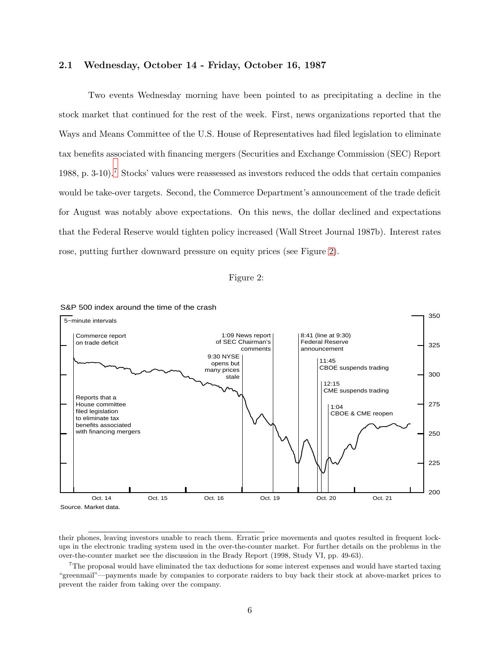#### 2.1 Wednesday, October 14 - Friday, October 16, 1987

Two events Wednesday morning have been pointed to as precipitating a decline in the stock market that continued for the rest of the week. First, news organizations reported that the Ways and Means Committee of the U.S. House of Representatives had filed legislation to eliminate tax benefits associated with financing mergers (Securities and Exchange Commission (SEC) Report 1988, p. 3-10).<sup>7</sup> Stocks' values were reassessed as investors reduced the odds that certain companies would be take-over targets. Second, the Commerce Department's announcement of the trade deficit for August was notably above expectations. On this news, the dollar declined and expectations that the Federal Reserve would tighten policy increased (Wall Street Journal 1987b). Interest rates rose, putting further downward pressure on equity prices (see Figure [2\)](#page-6-0).

<span id="page-6-0"></span>



their phones, leaving investors unable to reach them. Erratic price movements and quotes resulted in frequent lockups in the electronic trading system used in the over-the-counter market. For further details on the problems in the over-the-counter market see the discussion in the Brady Report (1998, Study VI, pp. 49-63).

<sup>7</sup>The proposal would have eliminated the tax deductions for some interest expenses and would have started taxing "greenmail"—payments made by companies to corporate raiders to buy back their stock at above-market prices to prevent the raider from taking over the company.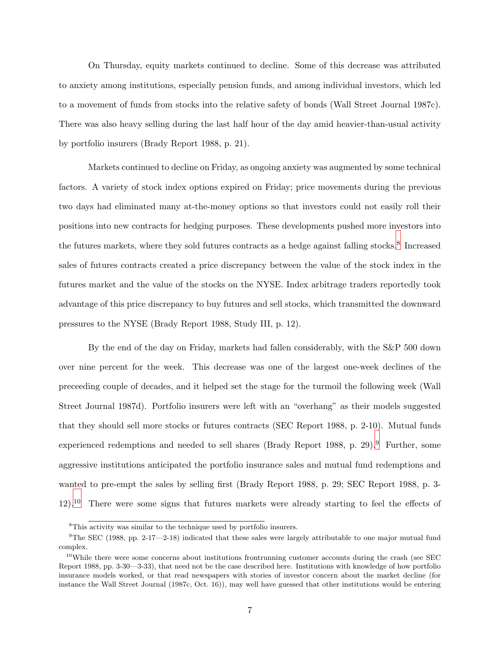On Thursday, equity markets continued to decline. Some of this decrease was attributed to anxiety among institutions, especially pension funds, and among individual investors, which led to a movement of funds from stocks into the relative safety of bonds (Wall Street Journal 1987c). There was also heavy selling during the last half hour of the day amid heavier-than-usual activity by portfolio insurers (Brady Report 1988, p. 21).

Markets continued to decline on Friday, as ongoing anxiety was augmented by some technical factors. A variety of stock index options expired on Friday; price movements during the previous two days had eliminated many at-the-money options so that investors could not easily roll their positions into new contracts for hedging purposes. These developments pushed more investors into the futures markets, where they sold futures contracts as a hedge against falling stocks.<sup>8</sup> Increased sales of futures contracts created a price discrepancy between the value of the stock index in the futures market and the value of the stocks on the NYSE. Index arbitrage traders reportedly took advantage of this price discrepancy to buy futures and sell stocks, which transmitted the downward pressures to the NYSE (Brady Report 1988, Study III, p. 12).

By the end of the day on Friday, markets had fallen considerably, with the S&P 500 down over nine percent for the week. This decrease was one of the largest one-week declines of the preceeding couple of decades, and it helped set the stage for the turmoil the following week (Wall Street Journal 1987d). Portfolio insurers were left with an "overhang" as their models suggested that they should sell more stocks or futures contracts (SEC Report 1988, p. 2-10). Mutual funds experienced redemptions and needed to sell shares (Brady Report 1988, p. 29).<sup>9</sup> Further, some aggressive institutions anticipated the portfolio insurance sales and mutual fund redemptions and wanted to pre-empt the sales by selling first (Brady Report 1988, p. 29; SEC Report 1988, p. 3-  $12$ ).<sup>10</sup> There were some signs that futures markets were already starting to feel the effects of

<sup>8</sup>This activity was similar to the technique used by portfolio insurers.

<sup>9</sup>The SEC (1988, pp. 2-17—2-18) indicated that these sales were largely attributable to one major mutual fund complex.

<sup>&</sup>lt;sup>10</sup>While there were some concerns about institutions frontrunning customer accounts during the crash (see SEC Report 1988, pp. 3-30—3-33), that need not be the case described here. Institutions with knowledge of how portfolio insurance models worked, or that read newspapers with stories of investor concern about the market decline (for instance the Wall Street Journal (1987c, Oct. 16)), may well have guessed that other institutions would be entering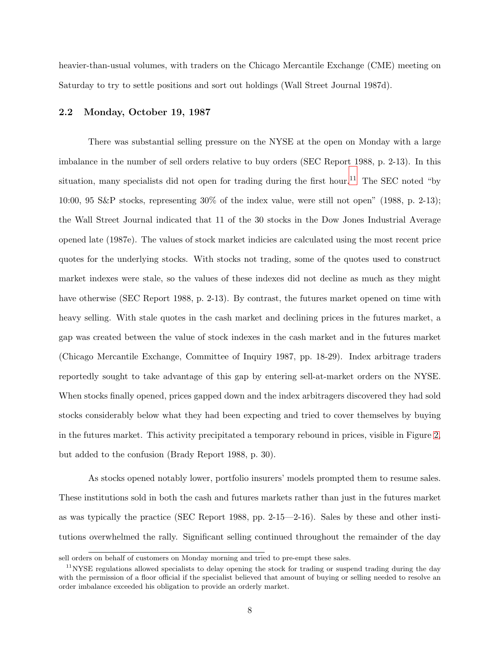heavier-than-usual volumes, with traders on the Chicago Mercantile Exchange (CME) meeting on Saturday to try to settle positions and sort out holdings (Wall Street Journal 1987d).

#### 2.2 Monday, October 19, 1987

There was substantial selling pressure on the NYSE at the open on Monday with a large imbalance in the number of sell orders relative to buy orders (SEC Report 1988, p. 2-13). In this situation, many specialists did not open for trading during the first hour.<sup>11</sup> The SEC noted "by 10:00, 95 S&P stocks, representing 30% of the index value, were still not open" (1988, p. 2-13); the Wall Street Journal indicated that 11 of the 30 stocks in the Dow Jones Industrial Average opened late (1987e). The values of stock market indicies are calculated using the most recent price quotes for the underlying stocks. With stocks not trading, some of the quotes used to construct market indexes were stale, so the values of these indexes did not decline as much as they might have otherwise (SEC Report 1988, p. 2-13). By contrast, the futures market opened on time with heavy selling. With stale quotes in the cash market and declining prices in the futures market, a gap was created between the value of stock indexes in the cash market and in the futures market (Chicago Mercantile Exchange, Committee of Inquiry 1987, pp. 18-29). Index arbitrage traders reportedly sought to take advantage of this gap by entering sell-at-market orders on the NYSE. When stocks finally opened, prices gapped down and the index arbitragers discovered they had sold stocks considerably below what they had been expecting and tried to cover themselves by buying in the futures market. This activity precipitated a temporary rebound in prices, visible in Figure [2,](#page-6-0) but added to the confusion (Brady Report 1988, p. 30).

As stocks opened notably lower, portfolio insurers' models prompted them to resume sales. These institutions sold in both the cash and futures markets rather than just in the futures market as was typically the practice (SEC Report 1988, pp. 2-15—2-16). Sales by these and other institutions overwhelmed the rally. Significant selling continued throughout the remainder of the day

sell orders on behalf of customers on Monday morning and tried to pre-empt these sales.

 $11$ NYSE regulations allowed specialists to delay opening the stock for trading or suspend trading during the day with the permission of a floor official if the specialist believed that amount of buying or selling needed to resolve an order imbalance exceeded his obligation to provide an orderly market.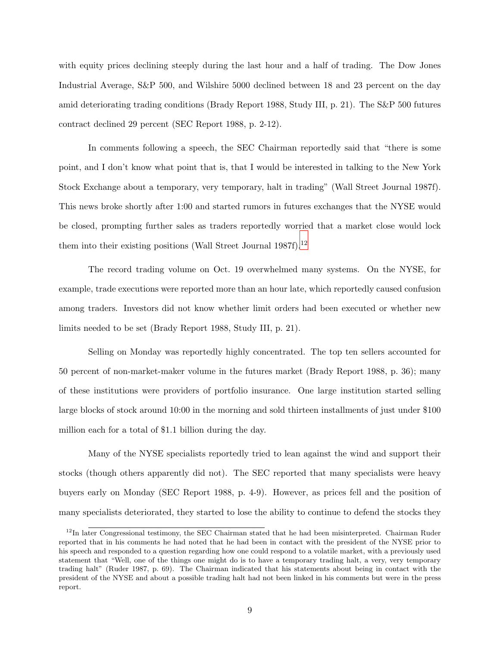with equity prices declining steeply during the last hour and a half of trading. The Dow Jones Industrial Average, S&P 500, and Wilshire 5000 declined between 18 and 23 percent on the day amid deteriorating trading conditions (Brady Report 1988, Study III, p. 21). The S&P 500 futures contract declined 29 percent (SEC Report 1988, p. 2-12).

In comments following a speech, the SEC Chairman reportedly said that "there is some point, and I don't know what point that is, that I would be interested in talking to the New York Stock Exchange about a temporary, very temporary, halt in trading" (Wall Street Journal 1987f). This news broke shortly after 1:00 and started rumors in futures exchanges that the NYSE would be closed, prompting further sales as traders reportedly worried that a market close would lock them into their existing positions (Wall Street Journal 1987f).<sup>12</sup>

The record trading volume on Oct. 19 overwhelmed many systems. On the NYSE, for example, trade executions were reported more than an hour late, which reportedly caused confusion among traders. Investors did not know whether limit orders had been executed or whether new limits needed to be set (Brady Report 1988, Study III, p. 21).

Selling on Monday was reportedly highly concentrated. The top ten sellers accounted for 50 percent of non-market-maker volume in the futures market (Brady Report 1988, p. 36); many of these institutions were providers of portfolio insurance. One large institution started selling large blocks of stock around 10:00 in the morning and sold thirteen installments of just under \$100 million each for a total of \$1.1 billion during the day.

Many of the NYSE specialists reportedly tried to lean against the wind and support their stocks (though others apparently did not). The SEC reported that many specialists were heavy buyers early on Monday (SEC Report 1988, p. 4-9). However, as prices fell and the position of many specialists deteriorated, they started to lose the ability to continue to defend the stocks they

 $12$ In later Congressional testimony, the SEC Chairman stated that he had been misinterpreted. Chairman Ruder reported that in his comments he had noted that he had been in contact with the president of the NYSE prior to his speech and responded to a question regarding how one could respond to a volatile market, with a previously used statement that "Well, one of the things one might do is to have a temporary trading halt, a very, very temporary trading halt" (Ruder 1987, p. 69). The Chairman indicated that his statements about being in contact with the president of the NYSE and about a possible trading halt had not been linked in his comments but were in the press report.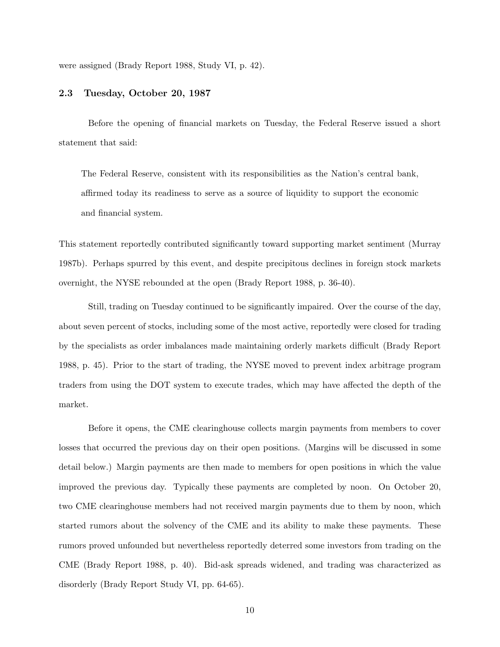were assigned (Brady Report 1988, Study VI, p. 42).

#### 2.3 Tuesday, October 20, 1987

Before the opening of financial markets on Tuesday, the Federal Reserve issued a short statement that said:

The Federal Reserve, consistent with its responsibilities as the Nation's central bank, affirmed today its readiness to serve as a source of liquidity to support the economic and financial system.

This statement reportedly contributed significantly toward supporting market sentiment (Murray 1987b). Perhaps spurred by this event, and despite precipitous declines in foreign stock markets overnight, the NYSE rebounded at the open (Brady Report 1988, p. 36-40).

Still, trading on Tuesday continued to be significantly impaired. Over the course of the day, about seven percent of stocks, including some of the most active, reportedly were closed for trading by the specialists as order imbalances made maintaining orderly markets difficult (Brady Report 1988, p. 45). Prior to the start of trading, the NYSE moved to prevent index arbitrage program traders from using the DOT system to execute trades, which may have affected the depth of the market.

Before it opens, the CME clearinghouse collects margin payments from members to cover losses that occurred the previous day on their open positions. (Margins will be discussed in some detail below.) Margin payments are then made to members for open positions in which the value improved the previous day. Typically these payments are completed by noon. On October 20, two CME clearinghouse members had not received margin payments due to them by noon, which started rumors about the solvency of the CME and its ability to make these payments. These rumors proved unfounded but nevertheless reportedly deterred some investors from trading on the CME (Brady Report 1988, p. 40). Bid-ask spreads widened, and trading was characterized as disorderly (Brady Report Study VI, pp. 64-65).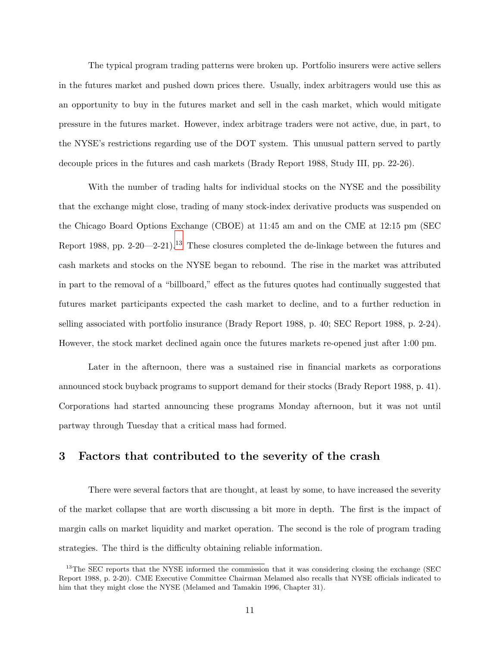The typical program trading patterns were broken up. Portfolio insurers were active sellers in the futures market and pushed down prices there. Usually, index arbitragers would use this as an opportunity to buy in the futures market and sell in the cash market, which would mitigate pressure in the futures market. However, index arbitrage traders were not active, due, in part, to the NYSE's restrictions regarding use of the DOT system. This unusual pattern served to partly decouple prices in the futures and cash markets (Brady Report 1988, Study III, pp. 22-26).

With the number of trading halts for individual stocks on the NYSE and the possibility that the exchange might close, trading of many stock-index derivative products was suspended on the Chicago Board Options Exchange (CBOE) at 11:45 am and on the CME at 12:15 pm (SEC Report 1988, pp. 2-20—2-21).<sup>13</sup> These closures completed the de-linkage between the futures and cash markets and stocks on the NYSE began to rebound. The rise in the market was attributed in part to the removal of a "billboard," effect as the futures quotes had continually suggested that futures market participants expected the cash market to decline, and to a further reduction in selling associated with portfolio insurance (Brady Report 1988, p. 40; SEC Report 1988, p. 2-24). However, the stock market declined again once the futures markets re-opened just after 1:00 pm.

Later in the afternoon, there was a sustained rise in financial markets as corporations announced stock buyback programs to support demand for their stocks (Brady Report 1988, p. 41). Corporations had started announcing these programs Monday afternoon, but it was not until partway through Tuesday that a critical mass had formed.

## 3 Factors that contributed to the severity of the crash

There were several factors that are thought, at least by some, to have increased the severity of the market collapse that are worth discussing a bit more in depth. The first is the impact of margin calls on market liquidity and market operation. The second is the role of program trading strategies. The third is the difficulty obtaining reliable information.

 $13$ The SEC reports that the NYSE informed the commission that it was considering closing the exchange (SEC Report 1988, p. 2-20). CME Executive Committee Chairman Melamed also recalls that NYSE officials indicated to him that they might close the NYSE (Melamed and Tamakin 1996, Chapter 31).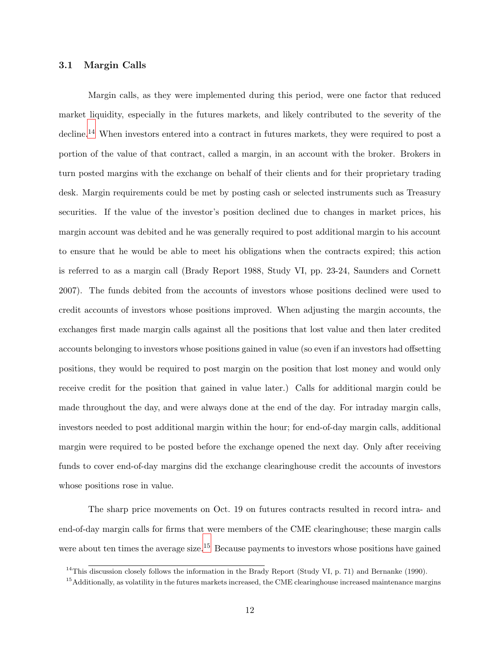#### 3.1 Margin Calls

Margin calls, as they were implemented during this period, were one factor that reduced market liquidity, especially in the futures markets, and likely contributed to the severity of the decline.<sup>14</sup> When investors entered into a contract in futures markets, they were required to post a portion of the value of that contract, called a margin, in an account with the broker. Brokers in turn posted margins with the exchange on behalf of their clients and for their proprietary trading desk. Margin requirements could be met by posting cash or selected instruments such as Treasury securities. If the value of the investor's position declined due to changes in market prices, his margin account was debited and he was generally required to post additional margin to his account to ensure that he would be able to meet his obligations when the contracts expired; this action is referred to as a margin call (Brady Report 1988, Study VI, pp. 23-24, Saunders and Cornett 2007). The funds debited from the accounts of investors whose positions declined were used to credit accounts of investors whose positions improved. When adjusting the margin accounts, the exchanges first made margin calls against all the positions that lost value and then later credited accounts belonging to investors whose positions gained in value (so even if an investors had offsetting positions, they would be required to post margin on the position that lost money and would only receive credit for the position that gained in value later.) Calls for additional margin could be made throughout the day, and were always done at the end of the day. For intraday margin calls, investors needed to post additional margin within the hour; for end-of-day margin calls, additional margin were required to be posted before the exchange opened the next day. Only after receiving funds to cover end-of-day margins did the exchange clearinghouse credit the accounts of investors whose positions rose in value.

The sharp price movements on Oct. 19 on futures contracts resulted in record intra- and end-of-day margin calls for firms that were members of the CME clearinghouse; these margin calls were about ten times the average size.<sup>15</sup> Because payments to investors whose positions have gained

<sup>&</sup>lt;sup>14</sup>This discussion closely follows the information in the Brady Report (Study VI, p. 71) and Bernanke (1990).

 $15$ Additionally, as volatility in the futures markets increased, the CME clearinghouse increased maintenance margins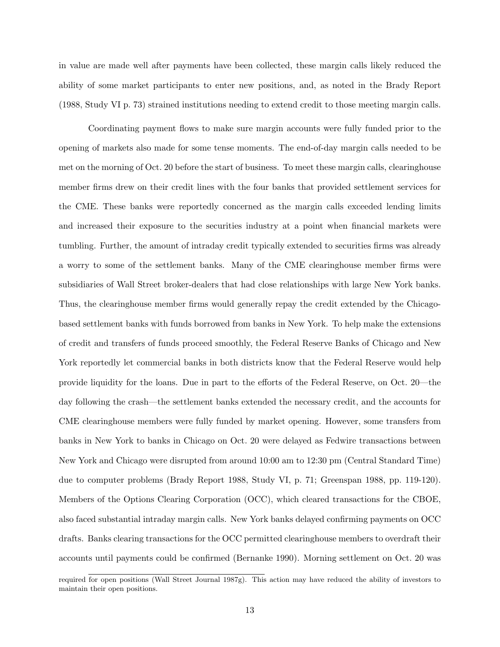in value are made well after payments have been collected, these margin calls likely reduced the ability of some market participants to enter new positions, and, as noted in the Brady Report (1988, Study VI p. 73) strained institutions needing to extend credit to those meeting margin calls.

Coordinating payment flows to make sure margin accounts were fully funded prior to the opening of markets also made for some tense moments. The end-of-day margin calls needed to be met on the morning of Oct. 20 before the start of business. To meet these margin calls, clearinghouse member firms drew on their credit lines with the four banks that provided settlement services for the CME. These banks were reportedly concerned as the margin calls exceeded lending limits and increased their exposure to the securities industry at a point when financial markets were tumbling. Further, the amount of intraday credit typically extended to securities firms was already a worry to some of the settlement banks. Many of the CME clearinghouse member firms were subsidiaries of Wall Street broker-dealers that had close relationships with large New York banks. Thus, the clearinghouse member firms would generally repay the credit extended by the Chicagobased settlement banks with funds borrowed from banks in New York. To help make the extensions of credit and transfers of funds proceed smoothly, the Federal Reserve Banks of Chicago and New York reportedly let commercial banks in both districts know that the Federal Reserve would help provide liquidity for the loans. Due in part to the efforts of the Federal Reserve, on Oct. 20—the day following the crash—the settlement banks extended the necessary credit, and the accounts for CME clearinghouse members were fully funded by market opening. However, some transfers from banks in New York to banks in Chicago on Oct. 20 were delayed as Fedwire transactions between New York and Chicago were disrupted from around 10:00 am to 12:30 pm (Central Standard Time) due to computer problems (Brady Report 1988, Study VI, p. 71; Greenspan 1988, pp. 119-120). Members of the Options Clearing Corporation (OCC), which cleared transactions for the CBOE, also faced substantial intraday margin calls. New York banks delayed confirming payments on OCC drafts. Banks clearing transactions for the OCC permitted clearinghouse members to overdraft their accounts until payments could be confirmed (Bernanke 1990). Morning settlement on Oct. 20 was

required for open positions (Wall Street Journal 1987g). This action may have reduced the ability of investors to maintain their open positions.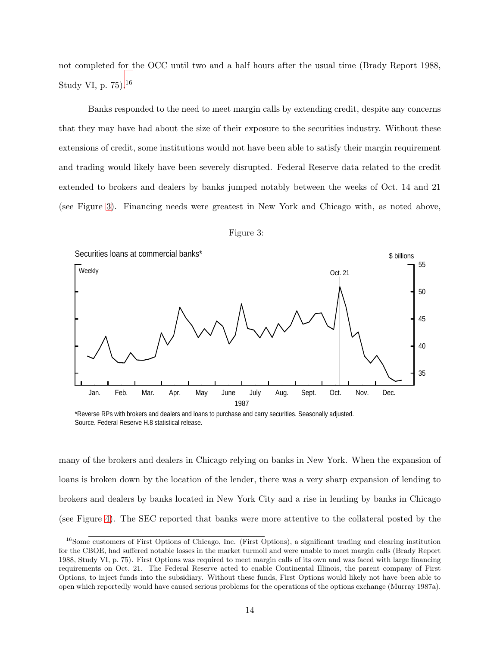not completed for the OCC until two and a half hours after the usual time (Brady Report 1988, Study VI, p. 75).<sup>16</sup>

Banks responded to the need to meet margin calls by extending credit, despite any concerns that they may have had about the size of their exposure to the securities industry. Without these extensions of credit, some institutions would not have been able to satisfy their margin requirement and trading would likely have been severely disrupted. Federal Reserve data related to the credit extended to brokers and dealers by banks jumped notably between the weeks of Oct. 14 and 21 (see Figure [3\)](#page-14-0). Financing needs were greatest in New York and Chicago with, as noted above,



<span id="page-14-0"></span>

\*Reverse RPs with brokers and dealers and loans to purchase and carry securities. Seasonally adjusted. Source. Federal Reserve H.8 statistical release.

many of the brokers and dealers in Chicago relying on banks in New York. When the expansion of loans is broken down by the location of the lender, there was a very sharp expansion of lending to brokers and dealers by banks located in New York City and a rise in lending by banks in Chicago (see Figure [4\)](#page-15-0). The SEC reported that banks were more attentive to the collateral posted by the

<sup>&</sup>lt;sup>16</sup>Some customers of First Options of Chicago, Inc. (First Options), a significant trading and clearing institution for the CBOE, had suffered notable losses in the market turmoil and were unable to meet margin calls (Brady Report 1988, Study VI, p. 75). First Options was required to meet margin calls of its own and was faced with large financing requirements on Oct. 21. The Federal Reserve acted to enable Continental Illinois, the parent company of First Options, to inject funds into the subsidiary. Without these funds, First Options would likely not have been able to open which reportedly would have caused serious problems for the operations of the options exchange (Murray 1987a).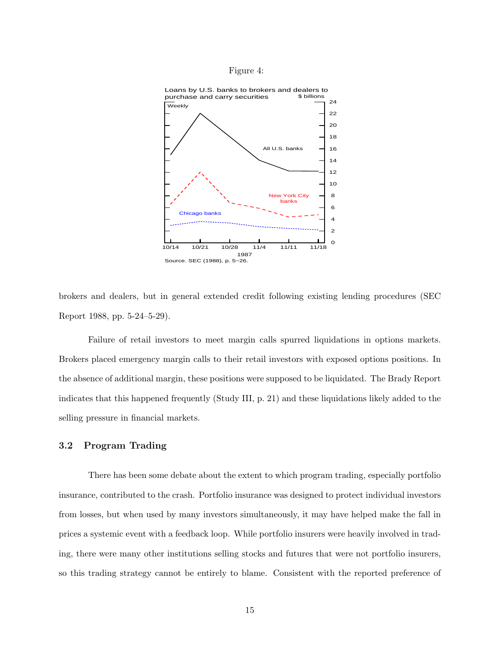<span id="page-15-0"></span>



brokers and dealers, but in general extended credit following existing lending procedures (SEC Report 1988, pp. 5-24–5-29).

Failure of retail investors to meet margin calls spurred liquidations in options markets. Brokers placed emergency margin calls to their retail investors with exposed options positions. In the absence of additional margin, these positions were supposed to be liquidated. The Brady Report indicates that this happened frequently (Study III, p. 21) and these liquidations likely added to the selling pressure in financial markets.

### 3.2 Program Trading

There has been some debate about the extent to which program trading, especially portfolio insurance, contributed to the crash. Portfolio insurance was designed to protect individual investors from losses, but when used by many investors simultaneously, it may have helped make the fall in prices a systemic event with a feedback loop. While portfolio insurers were heavily involved in trading, there were many other institutions selling stocks and futures that were not portfolio insurers, so this trading strategy cannot be entirely to blame. Consistent with the reported preference of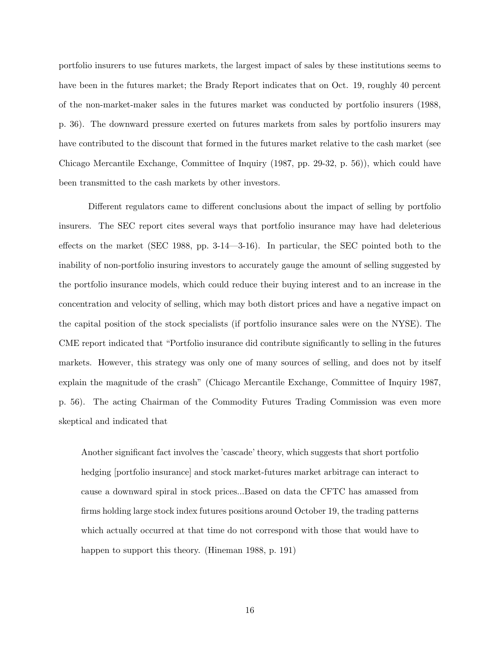portfolio insurers to use futures markets, the largest impact of sales by these institutions seems to have been in the futures market; the Brady Report indicates that on Oct. 19, roughly 40 percent of the non-market-maker sales in the futures market was conducted by portfolio insurers (1988, p. 36). The downward pressure exerted on futures markets from sales by portfolio insurers may have contributed to the discount that formed in the futures market relative to the cash market (see Chicago Mercantile Exchange, Committee of Inquiry (1987, pp. 29-32, p. 56)), which could have been transmitted to the cash markets by other investors.

Different regulators came to different conclusions about the impact of selling by portfolio insurers. The SEC report cites several ways that portfolio insurance may have had deleterious effects on the market (SEC 1988, pp. 3-14—3-16). In particular, the SEC pointed both to the inability of non-portfolio insuring investors to accurately gauge the amount of selling suggested by the portfolio insurance models, which could reduce their buying interest and to an increase in the concentration and velocity of selling, which may both distort prices and have a negative impact on the capital position of the stock specialists (if portfolio insurance sales were on the NYSE). The CME report indicated that "Portfolio insurance did contribute significantly to selling in the futures markets. However, this strategy was only one of many sources of selling, and does not by itself explain the magnitude of the crash" (Chicago Mercantile Exchange, Committee of Inquiry 1987, p. 56). The acting Chairman of the Commodity Futures Trading Commission was even more skeptical and indicated that

Another significant fact involves the 'cascade' theory, which suggests that short portfolio hedging portfolio insurance and stock market-futures market arbitrage can interact to cause a downward spiral in stock prices...Based on data the CFTC has amassed from firms holding large stock index futures positions around October 19, the trading patterns which actually occurred at that time do not correspond with those that would have to happen to support this theory. (Hineman 1988, p. 191)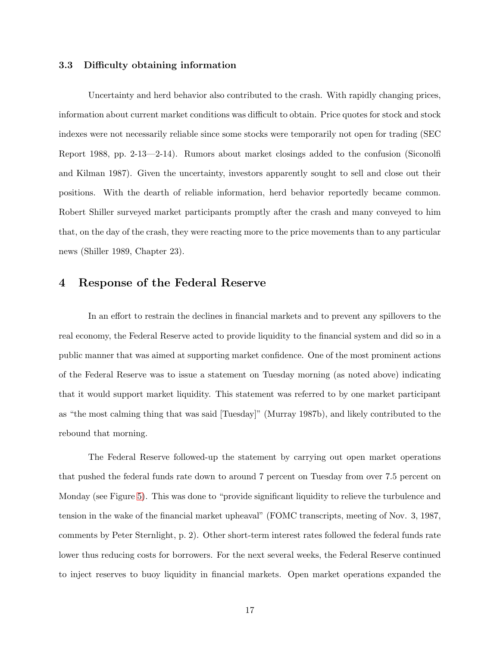#### 3.3 Difficulty obtaining information

Uncertainty and herd behavior also contributed to the crash. With rapidly changing prices, information about current market conditions was difficult to obtain. Price quotes for stock and stock indexes were not necessarily reliable since some stocks were temporarily not open for trading (SEC Report 1988, pp. 2-13—2-14). Rumors about market closings added to the confusion (Siconolfi and Kilman 1987). Given the uncertainty, investors apparently sought to sell and close out their positions. With the dearth of reliable information, herd behavior reportedly became common. Robert Shiller surveyed market participants promptly after the crash and many conveyed to him that, on the day of the crash, they were reacting more to the price movements than to any particular news (Shiller 1989, Chapter 23).

### 4 Response of the Federal Reserve

In an effort to restrain the declines in financial markets and to prevent any spillovers to the real economy, the Federal Reserve acted to provide liquidity to the financial system and did so in a public manner that was aimed at supporting market confidence. One of the most prominent actions of the Federal Reserve was to issue a statement on Tuesday morning (as noted above) indicating that it would support market liquidity. This statement was referred to by one market participant as "the most calming thing that was said [Tuesday]" (Murray 1987b), and likely contributed to the rebound that morning.

The Federal Reserve followed-up the statement by carrying out open market operations that pushed the federal funds rate down to around 7 percent on Tuesday from over 7.5 percent on Monday (see Figure [5\)](#page-18-0). This was done to "provide significant liquidity to relieve the turbulence and tension in the wake of the financial market upheaval" (FOMC transcripts, meeting of Nov. 3, 1987, comments by Peter Sternlight, p. 2). Other short-term interest rates followed the federal funds rate lower thus reducing costs for borrowers. For the next several weeks, the Federal Reserve continued to inject reserves to buoy liquidity in financial markets. Open market operations expanded the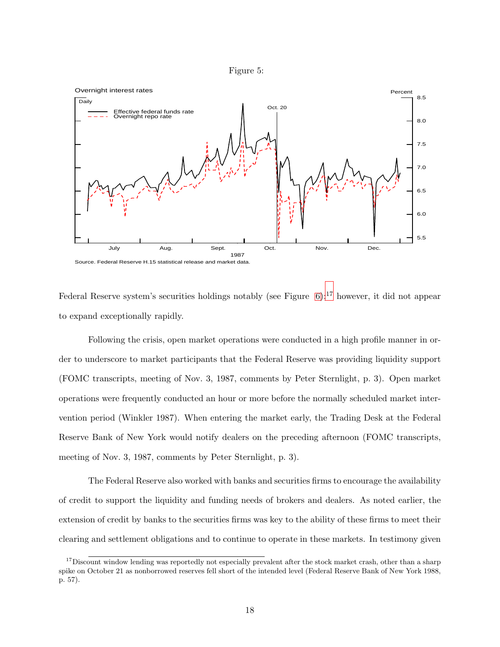<span id="page-18-0"></span>



Federal Reserve system's securities holdings notably (see Figure  $6$ );<sup>17</sup> however, it did not appear to expand exceptionally rapidly.

Following the crisis, open market operations were conducted in a high profile manner in order to underscore to market participants that the Federal Reserve was providing liquidity support (FOMC transcripts, meeting of Nov. 3, 1987, comments by Peter Sternlight, p. 3). Open market operations were frequently conducted an hour or more before the normally scheduled market intervention period (Winkler 1987). When entering the market early, the Trading Desk at the Federal Reserve Bank of New York would notify dealers on the preceding afternoon (FOMC transcripts, meeting of Nov. 3, 1987, comments by Peter Sternlight, p. 3).

The Federal Reserve also worked with banks and securities firms to encourage the availability of credit to support the liquidity and funding needs of brokers and dealers. As noted earlier, the extension of credit by banks to the securities firms was key to the ability of these firms to meet their clearing and settlement obligations and to continue to operate in these markets. In testimony given

 $17$ Discount window lending was reportedly not especially prevalent after the stock market crash, other than a sharp spike on October 21 as nonborrowed reserves fell short of the intended level (Federal Reserve Bank of New York 1988, p. 57).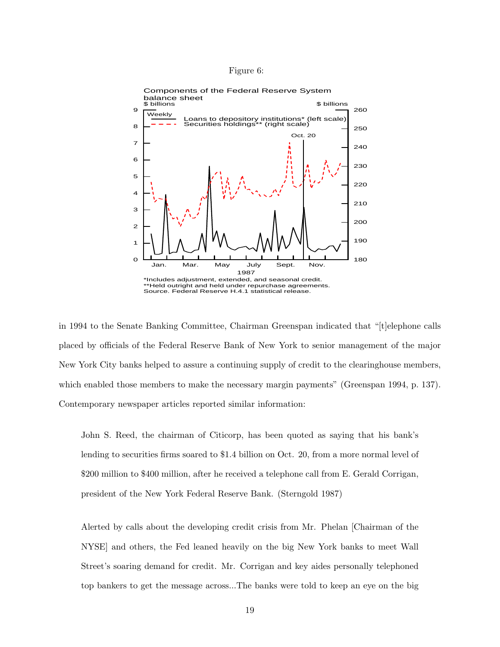#### <span id="page-19-0"></span>Figure 6:



in 1994 to the Senate Banking Committee, Chairman Greenspan indicated that "[t]elephone calls placed by officials of the Federal Reserve Bank of New York to senior management of the major New York City banks helped to assure a continuing supply of credit to the clearinghouse members, which enabled those members to make the necessary margin payments" (Greenspan 1994, p. 137). Contemporary newspaper articles reported similar information:

John S. Reed, the chairman of Citicorp, has been quoted as saying that his bank's lending to securities firms soared to \$1.4 billion on Oct. 20, from a more normal level of \$200 million to \$400 million, after he received a telephone call from E. Gerald Corrigan, president of the New York Federal Reserve Bank. (Sterngold 1987)

Alerted by calls about the developing credit crisis from Mr. Phelan [Chairman of the NYSE] and others, the Fed leaned heavily on the big New York banks to meet Wall Street's soaring demand for credit. Mr. Corrigan and key aides personally telephoned top bankers to get the message across...The banks were told to keep an eye on the big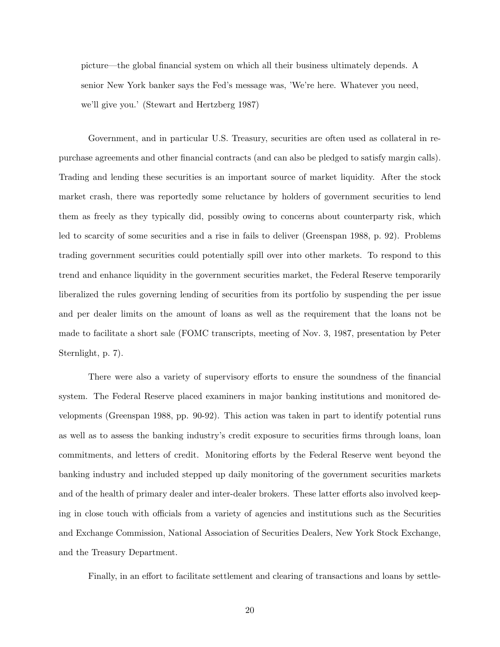picture—the global financial system on which all their business ultimately depends. A senior New York banker says the Fed's message was, 'We're here. Whatever you need, we'll give you.' (Stewart and Hertzberg 1987)

Government, and in particular U.S. Treasury, securities are often used as collateral in repurchase agreements and other financial contracts (and can also be pledged to satisfy margin calls). Trading and lending these securities is an important source of market liquidity. After the stock market crash, there was reportedly some reluctance by holders of government securities to lend them as freely as they typically did, possibly owing to concerns about counterparty risk, which led to scarcity of some securities and a rise in fails to deliver (Greenspan 1988, p. 92). Problems trading government securities could potentially spill over into other markets. To respond to this trend and enhance liquidity in the government securities market, the Federal Reserve temporarily liberalized the rules governing lending of securities from its portfolio by suspending the per issue and per dealer limits on the amount of loans as well as the requirement that the loans not be made to facilitate a short sale (FOMC transcripts, meeting of Nov. 3, 1987, presentation by Peter Sternlight, p. 7).

There were also a variety of supervisory efforts to ensure the soundness of the financial system. The Federal Reserve placed examiners in major banking institutions and monitored developments (Greenspan 1988, pp. 90-92). This action was taken in part to identify potential runs as well as to assess the banking industry's credit exposure to securities firms through loans, loan commitments, and letters of credit. Monitoring efforts by the Federal Reserve went beyond the banking industry and included stepped up daily monitoring of the government securities markets and of the health of primary dealer and inter-dealer brokers. These latter efforts also involved keeping in close touch with officials from a variety of agencies and institutions such as the Securities and Exchange Commission, National Association of Securities Dealers, New York Stock Exchange, and the Treasury Department.

Finally, in an effort to facilitate settlement and clearing of transactions and loans by settle-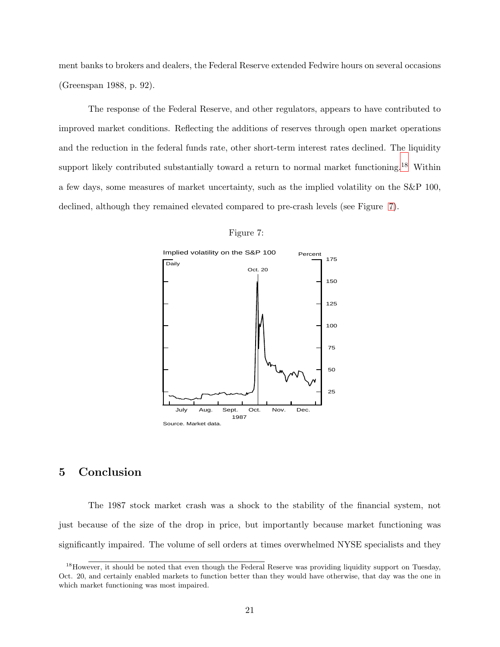ment banks to brokers and dealers, the Federal Reserve extended Fedwire hours on several occasions (Greenspan 1988, p. 92).

The response of the Federal Reserve, and other regulators, appears to have contributed to improved market conditions. Reflecting the additions of reserves through open market operations and the reduction in the federal funds rate, other short-term interest rates declined. The liquidity support likely contributed substantially toward a return to normal market functioning.<sup>18</sup> Within a few days, some measures of market uncertainty, such as the implied volatility on the S&P 100, declined, although they remained elevated compared to pre-crash levels (see Figure [7\)](#page-21-0).



<span id="page-21-0"></span>

## 5 Conclusion

The 1987 stock market crash was a shock to the stability of the financial system, not just because of the size of the drop in price, but importantly because market functioning was significantly impaired. The volume of sell orders at times overwhelmed NYSE specialists and they

<sup>&</sup>lt;sup>18</sup>However, it should be noted that even though the Federal Reserve was providing liquidity support on Tuesday, Oct. 20, and certainly enabled markets to function better than they would have otherwise, that day was the one in which market functioning was most impaired.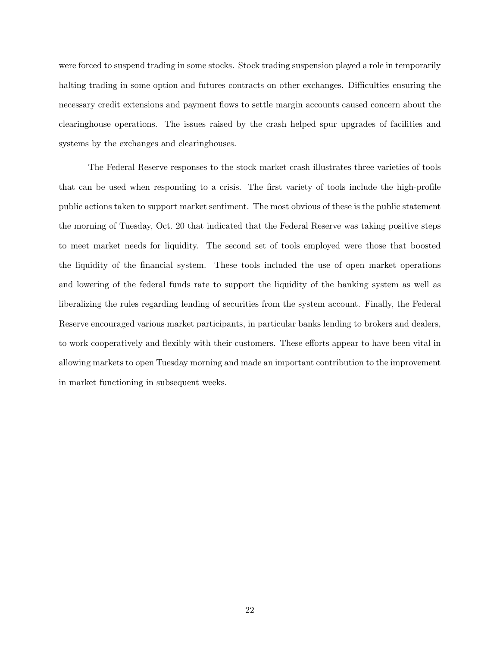were forced to suspend trading in some stocks. Stock trading suspension played a role in temporarily halting trading in some option and futures contracts on other exchanges. Difficulties ensuring the necessary credit extensions and payment flows to settle margin accounts caused concern about the clearinghouse operations. The issues raised by the crash helped spur upgrades of facilities and systems by the exchanges and clearinghouses.

The Federal Reserve responses to the stock market crash illustrates three varieties of tools that can be used when responding to a crisis. The first variety of tools include the high-profile public actions taken to support market sentiment. The most obvious of these is the public statement the morning of Tuesday, Oct. 20 that indicated that the Federal Reserve was taking positive steps to meet market needs for liquidity. The second set of tools employed were those that boosted the liquidity of the financial system. These tools included the use of open market operations and lowering of the federal funds rate to support the liquidity of the banking system as well as liberalizing the rules regarding lending of securities from the system account. Finally, the Federal Reserve encouraged various market participants, in particular banks lending to brokers and dealers, to work cooperatively and flexibly with their customers. These efforts appear to have been vital in allowing markets to open Tuesday morning and made an important contribution to the improvement in market functioning in subsequent weeks.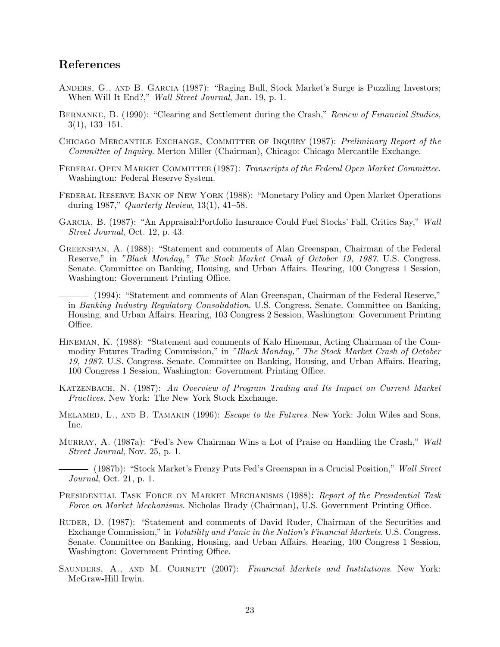## References

- Anders, G., and B. Garcia (1987): "Raging Bull, Stock Market's Surge is Puzzling Investors; When Will It End?," *Wall Street Journal*, Jan. 19, p. 1.
- BERNANKE, B. (1990): "Clearing and Settlement during the Crash," Review of Financial Studies, 3(1), 133–151.
- Chicago Mercantile Exchange, Committee of Inquiry (1987): Preliminary Report of the Committee of Inquiry. Merton Miller (Chairman), Chicago: Chicago Mercantile Exchange.
- Federal Open Market Committee (1987): Transcripts of the Federal Open Market Committee. Washington: Federal Reserve System.
- Federal Reserve Bank of New York (1988): "Monetary Policy and Open Market Operations during 1987," Quarterly Review, 13(1), 41–58.
- Garcia, B. (1987): "An Appraisal:Portfolio Insurance Could Fuel Stocks' Fall, Critics Say," Wall Street Journal, Oct. 12, p. 43.
- Greenspan, A. (1988): "Statement and comments of Alan Greenspan, Chairman of the Federal Reserve," in "Black Monday," The Stock Market Crash of October 19, 1987. U.S. Congress. Senate. Committee on Banking, Housing, and Urban Affairs. Hearing, 100 Congress 1 Session, Washington: Government Printing Office.
	- (1994): "Statement and comments of Alan Greenspan, Chairman of the Federal Reserve," in Banking Industry Regulatory Consolidation. U.S. Congress. Senate. Committee on Banking, Housing, and Urban Affairs. Hearing, 103 Congress 2 Session, Washington: Government Printing Office.
- Hineman, K. (1988): "Statement and comments of Kalo Hineman, Acting Chairman of the Commodity Futures Trading Commission," in "Black Monday," The Stock Market Crash of October 19, 1987. U.S. Congress. Senate. Committee on Banking, Housing, and Urban Affairs. Hearing, 100 Congress 1 Session, Washington: Government Printing Office.
- Katzenbach, N. (1987): An Overview of Program Trading and Its Impact on Current Market Practices. New York: The New York Stock Exchange.
- Melamed, L., and B. Tamakin (1996): Escape to the Futures. New York: John Wiles and Sons, Inc.
- MURRAY, A. (1987a): "Fed's New Chairman Wins a Lot of Praise on Handling the Crash," Wall Street Journal, Nov. 25, p. 1.
	- $-$  (1987b): "Stock Market's Frenzy Puts Fed's Greenspan in a Crucial Position," Wall Street Journal, Oct. 21, p. 1.
- PRESIDENTIAL TASK FORCE ON MARKET MECHANISMS (1988): Report of the Presidential Task Force on Market Mechanisms. Nicholas Brady (Chairman), U.S. Government Printing Office.
- Ruder, D. (1987): "Statement and comments of David Ruder, Chairman of the Securities and Exchange Commission," in Volatility and Panic in the Nation's Financial Markets. U.S. Congress. Senate. Committee on Banking, Housing, and Urban Affairs. Hearing, 100 Congress 1 Session, Washington: Government Printing Office.
- SAUNDERS, A., AND M. CORNETT (2007): Financial Markets and Institutions. New York: McGraw-Hill Irwin.